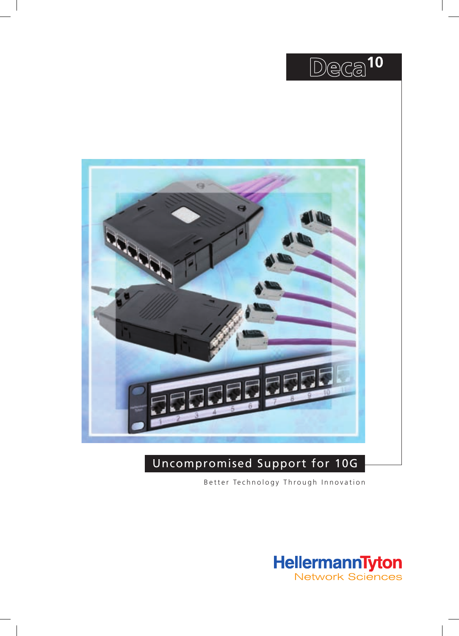



## Uncompromised Support for 10G

Better Technology Through Innovation

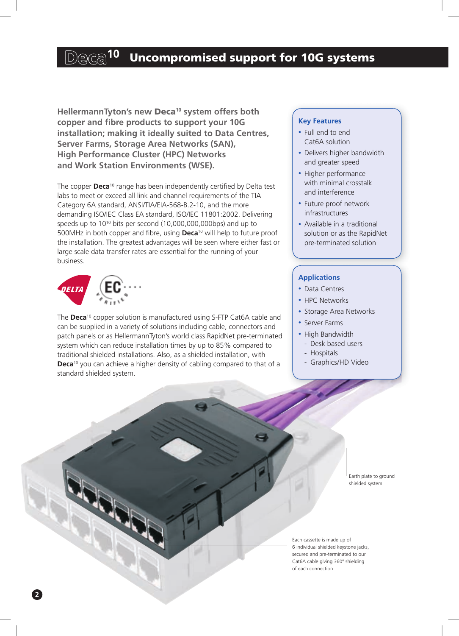## Deca<sup>10</sup> Uncompromised support for 10G systems

**HellermannTyton's new** Deca**10 system offers both copper and fibre products to support your 10G installation; making it ideally suited to Data Centres, Server Farms, Storage Area Networks (SAN), High Performance Cluster (HPC) Networks and Work Station Environments (WSE).**

The copper **Deca**10 range has been independently certified by Delta test labs to meet or exceed all link and channel requirements of the TIA Category 6A standard, ANSI/TIA/EIA-568-B.2-10, and the more demanding ISO/IEC Class EA standard, ISO/IEC 11801:2002. Delivering speeds up to 10<sup>10</sup> bits per second (10,000,000,000bps) and up to 500MHz in both copper and fibre, using **Deca**10 will help to future proof the installation. The greatest advantages will be seen where either fast or large scale data transfer rates are essential for the running of your business.



**2**

The **Deca**10 copper solution is manufactured using S-FTP Cat6A cable and can be supplied in a variety of solutions including cable, connectors and patch panels or as HellermannTyton's world class RapidNet pre-terminated system which can reduce installation times by up to 85% compared to traditional shielded installations. Also, as a shielded installation, with **Deca**10 you can achieve a higher density of cabling compared to that of a standard shielded system.

### **Key Features**

- Full end to end Cat6A solution
- Delivers higher bandwidth and greater speed
- Higher performance with minimal crosstalk and interference
- Future proof network infrastructures
- Available in a traditional solution or as the RapidNet pre-terminated solution

## **Applications**

- Data Centres
- HPC Networks
- Storage Area Networks
- Server Farms
- High Bandwidth
	- Desk based users
	- Hospitals
	- Graphics/HD Video

Earth plate to ground shielded system

Each cassette is made up of 6 individual shielded keystone jacks, secured and pre-terminated to our Cat6A cable giving 360º shielding of each connection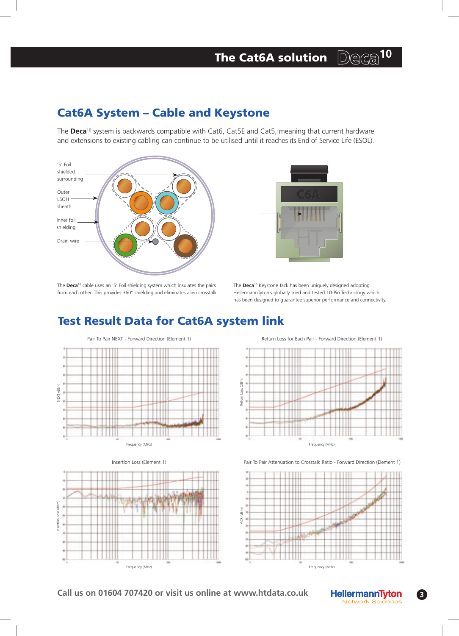#### 10 The Cat6A solution Deca

## Cat6A System – Cable and Keystone

The **Deca**10 system is backwards compatible with Cat6, Cat5E and Cat5, meaning that current hardware and extensions to existing cabling can continue to be utilised until it reaches its End of Service Life (ESOL).





The **Deca**10 cable uses an 'S' Foil shielding system which insulates the pairs from each other. This provides 360° shielding and eliminates alien crosstalk.

The **Deca**10 Keystone Jack has been uniquely designed adopting HellermannTyton's globally tried and tested 10-Pin Technology which has been designed to guarantee superior performance and connectivity.

## Test Result Data for Cat6A system link







Insertion Loss (Element 1) Pair To Pair Attenuation to Crosstalk Ratio - Forward Direction (Element 1)



**Call us on 01604 707420 or visit us online at www.htdata.co.uk**



**3**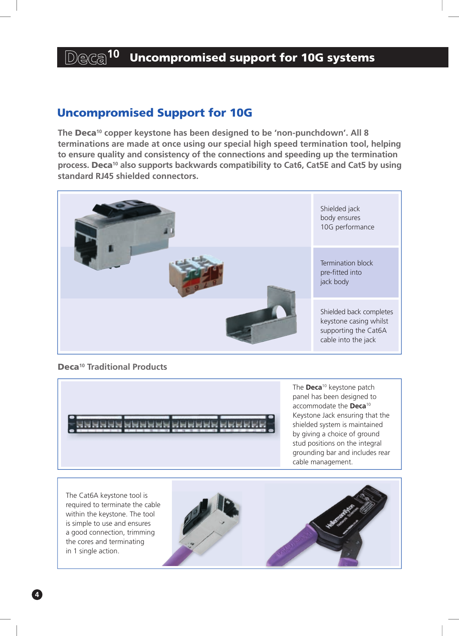## Deca<sup>10</sup> Uncompromised support for 10G systems

## Uncompromised Support for 10G

**The** Deca**10 copper keystone has been designed to be 'non-punchdown'. All 8 terminations are made at once using our special high speed termination tool, helping to ensure quality and consistency of the connections and speeding up the termination process.** Deca**10 also supports backwards compatibility to Cat6, Cat5E and Cat5 by using standard RJ45 shielded connectors.**



Deca**10 Traditional Products**



The **Deca**10 keystone patch panel has been designed to accommodate the **Deca**<sup>10</sup> Keystone Jack ensuring that the shielded system is maintained by giving a choice of ground stud positions on the integral grounding bar and includes rear cable management.

The Cat6A keystone tool is required to terminate the cable within the keystone. The tool is simple to use and ensures a good connection, trimming the cores and terminating in 1 single action.

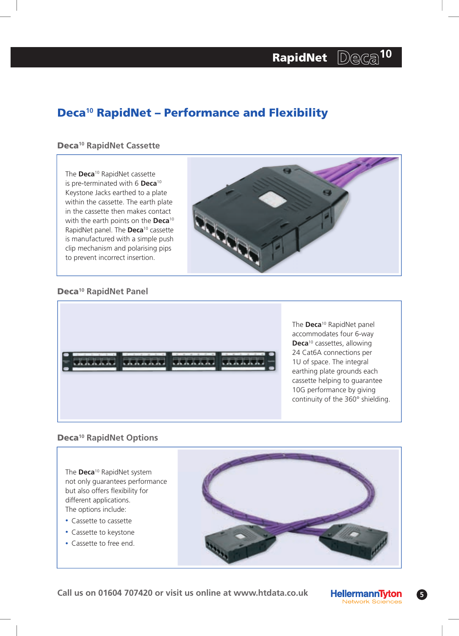# RapidNet Deca<sup>10</sup>

## Deca**10** RapidNet – Performance and Flexibility

## Deca**10 RapidNet Cassette**

The **Deca**10 RapidNet cassette is pre-terminated with 6 **Deca**<sup>10</sup> Keystone Jacks earthed to a plate within the cassette. The earth plate in the cassette then makes contact with the earth points on the **Deca**<sup>10</sup> RapidNet panel. The **Deca**10 cassette is manufactured with a simple push clip mechanism and polarising pips to prevent incorrect insertion.



## Deca**10 RapidNet Panel**



The **Deca**10 RapidNet panel accommodates four 6-way **Deca**10 cassettes, allowing 24 Cat6A connections per 1U of space. The integral earthing plate grounds each cassette helping to guarantee 10G performance by giving continuity of the 360° shielding.

## Deca**10 RapidNet Options**

The **Deca**10 RapidNet system not only guarantees performance but also offers flexibility for different applications. The options include:

- Cassette to cassette
- Cassette to keystone
- Cassette to free end.





**5**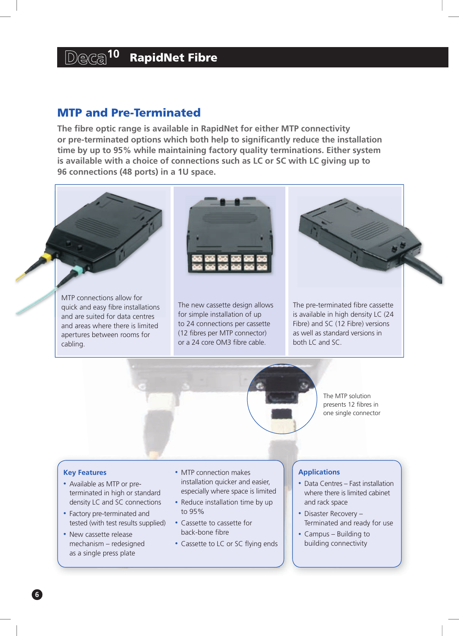## $D$ eca<sup>10</sup> RapidNet Fibre

## MTP and Pre-Terminated

**The fibre optic range is available in RapidNet for either MTP connectivity or pre-terminated options which both help to significantly reduce the installation time by up to 95% while maintaining factory quality terminations. Either system is available with a choice of connections such as LC or SC with LC giving up to 96 connections (48 ports) in a 1U space.**

MTP connections allow for quick and easy fibre installations and are suited for data centres and areas where there is limited apertures between rooms for cabling.



The new cassette design allows for simple installation of up to 24 connections per cassette (12 fibres per MTP connector) or a 24 core OM3 fibre cable.

The pre-terminated fibre cassette is available in high density LC (24 Fibre) and SC (12 Fibre) versions as well as standard versions in both LC and SC.



The MTP solution presents 12 fibres in one single connector

### **Key Features**

- Available as MTP or preterminated in high or standard density LC and SC connections
- Factory pre-terminated and tested (with test results supplied)
- New cassette release mechanism – redesigned as a single press plate
- MTP connection makes installation quicker and easier, especially where space is limited
- Reduce installation time by up to 95%
- Cassette to cassette for back-bone fibre
- Cassette to LC or SC flying ends

### **Applications**

- Data Centres Fast installation where there is limited cabinet and rack space
- •Disaster Recovery Terminated and ready for use
- Campus Building to building connectivity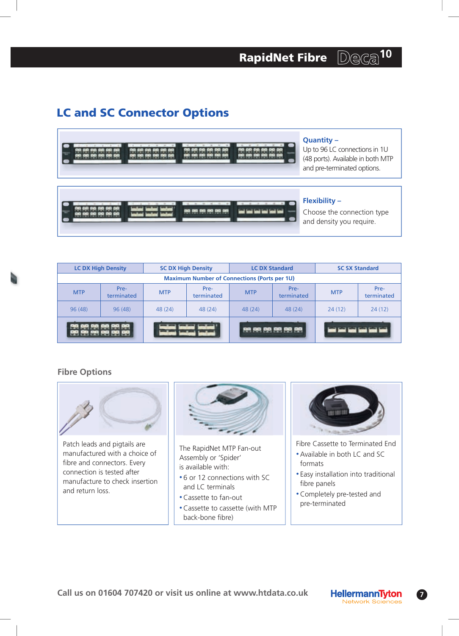## LC and SC Connector Options





Up to 96 LC connections in 1U (48 ports). Available in both MTP and pre-terminated options.

## **Flexibility –**

Choose the connection type and density you require.

| <b>LC DX High Density</b>                           |                    | <b>SC DX High Density</b> |                    | <b>LC DX Standard</b> |                    | <b>SC SX Standard</b> |                    |
|-----------------------------------------------------|--------------------|---------------------------|--------------------|-----------------------|--------------------|-----------------------|--------------------|
| <b>Maximum Number of Connections (Ports per 1U)</b> |                    |                           |                    |                       |                    |                       |                    |
| <b>MTP</b>                                          | Pre-<br>terminated | <b>MTP</b>                | Pre-<br>terminated | <b>MTP</b>            | Pre-<br>terminated | <b>MTP</b>            | Pre-<br>terminated |
| 96(48)                                              | 96(48)             | 48(24)                    | 48 (24)            | 48(24)                | 48(24)             | 24(12)                | 24(12)             |
| ගය පහ සහ                                            |                    |                           |                    |                       |                    |                       |                    |

## **Fibre Options**



Patch leads and pigtails are manufactured with a choice of fibre and connectors. Every connection is tested after manufacture to check insertion and return loss.



The RapidNet MTP Fan-out Assembly or 'Spider' is available with:

- •6 or 12 connections with SC and LC terminals
- •Cassette to fan-out
- •Cassette to cassette (with MTP back-bone fibre)



- Fibre Cassette to Terminated End
- •Available in both LC and SC formats
- Easy installation into traditional fibre panels
- •Completely pre-tested and pre-terminated